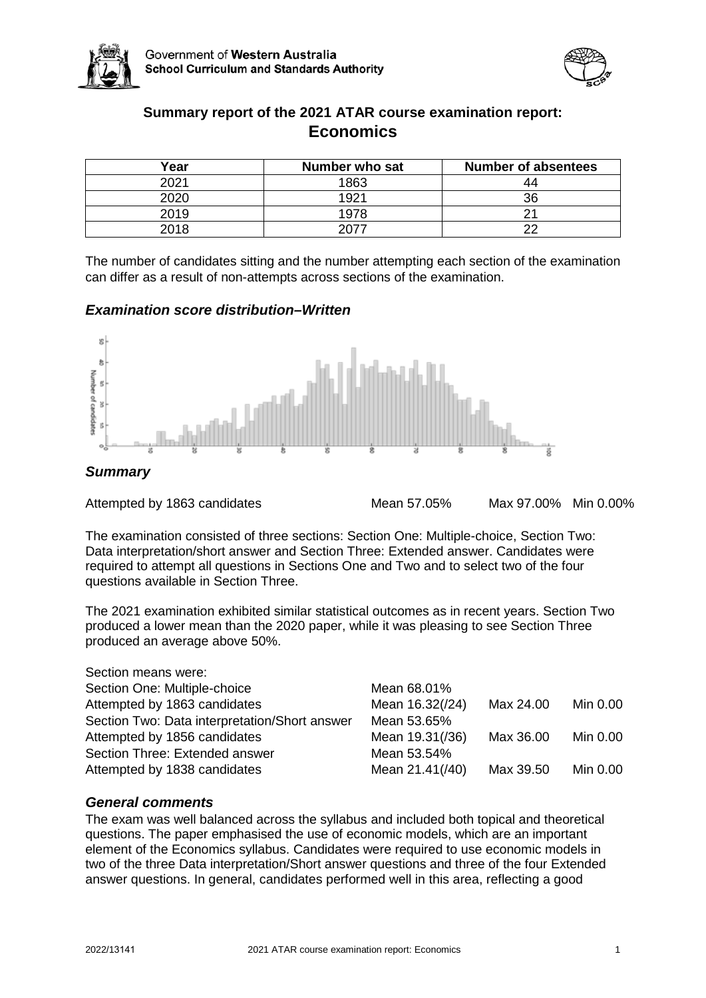



# **Summary report of the 2021 ATAR course examination report: Economics**

| Year | Number who sat | <b>Number of absentees</b> |
|------|----------------|----------------------------|
| 2021 | 1863           | 44                         |
| 2020 | 192'           | 36                         |
| 2019 |                |                            |
| 2018 |                |                            |

The number of candidates sitting and the number attempting each section of the examination can differ as a result of non-attempts across sections of the examination.

# *Examination score distribution–Written*



Attempted by 1863 candidates Mean 57.05% Max 97.00% Min 0.00%

The examination consisted of three sections: Section One: Multiple-choice, Section Two: Data interpretation/short answer and Section Three: Extended answer. Candidates were required to attempt all questions in Sections One and Two and to select two of the four questions available in Section Three.

The 2021 examination exhibited similar statistical outcomes as in recent years. Section Two produced a lower mean than the 2020 paper, while it was pleasing to see Section Three produced an average above 50%.

| Section means were:                           |                 |           |          |
|-----------------------------------------------|-----------------|-----------|----------|
| Section One: Multiple-choice                  | Mean 68.01%     |           |          |
| Attempted by 1863 candidates                  | Mean 16.32(/24) | Max 24.00 | Min 0.00 |
| Section Two: Data interpretation/Short answer | Mean 53.65%     |           |          |
| Attempted by 1856 candidates                  | Mean 19.31(/36) | Max 36.00 | Min 0.00 |
| Section Three: Extended answer                | Mean 53.54%     |           |          |
| Attempted by 1838 candidates                  | Mean 21.41(/40) | Max 39.50 | Min 0.00 |

# *General comments*

The exam was well balanced across the syllabus and included both topical and theoretical questions. The paper emphasised the use of economic models, which are an important element of the Economics syllabus. Candidates were required to use economic models in two of the three Data interpretation/Short answer questions and three of the four Extended answer questions. In general, candidates performed well in this area, reflecting a good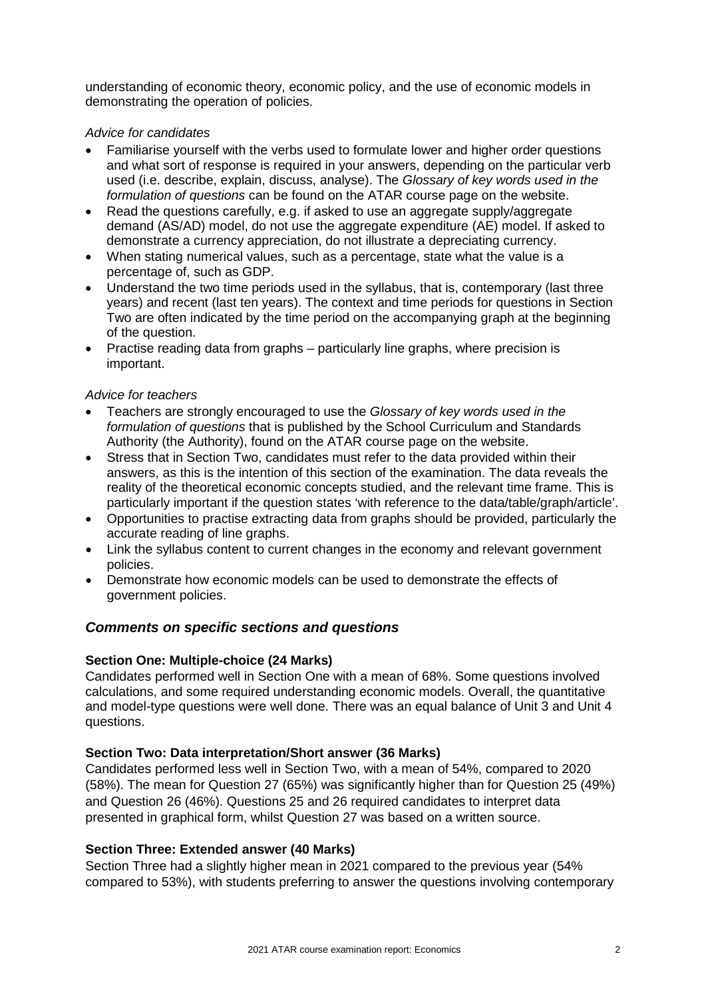understanding of economic theory, economic policy, and the use of economic models in demonstrating the operation of policies.

# *Advice for candidates*

- Familiarise yourself with the verbs used to formulate lower and higher order questions and what sort of response is required in your answers, depending on the particular verb used (i.e. describe, explain, discuss, analyse). The *Glossary of key words used in the formulation of questions* can be found on the ATAR course page on the website.
- Read the questions carefully, e.g. if asked to use an aggregate supply/aggregate demand (AS/AD) model, do not use the aggregate expenditure (AE) model. If asked to demonstrate a currency appreciation, do not illustrate a depreciating currency.
- When stating numerical values, such as a percentage, state what the value is a percentage of, such as GDP.
- Understand the two time periods used in the syllabus, that is, contemporary (last three years) and recent (last ten years). The context and time periods for questions in Section Two are often indicated by the time period on the accompanying graph at the beginning of the question.
- Practise reading data from graphs particularly line graphs, where precision is important.

### *Advice for teachers*

- Teachers are strongly encouraged to use the *Glossary of key words used in the formulation of questions* that is published by the School Curriculum and Standards Authority (the Authority), found on the ATAR course page on the website.
- Stress that in Section Two, candidates must refer to the data provided within their answers, as this is the intention of this section of the examination. The data reveals the reality of the theoretical economic concepts studied, and the relevant time frame. This is particularly important if the question states 'with reference to the data/table/graph/article'.
- Opportunities to practise extracting data from graphs should be provided, particularly the accurate reading of line graphs.
- Link the syllabus content to current changes in the economy and relevant government policies.
- Demonstrate how economic models can be used to demonstrate the effects of government policies.

# *Comments on specific sections and questions*

# **Section One: Multiple-choice (24 Marks)**

Candidates performed well in Section One with a mean of 68%. Some questions involved calculations, and some required understanding economic models. Overall, the quantitative and model-type questions were well done. There was an equal balance of Unit 3 and Unit 4 questions.

# **Section Two: Data interpretation/Short answer (36 Marks)**

Candidates performed less well in Section Two, with a mean of 54%, compared to 2020 (58%). The mean for Question 27 (65%) was significantly higher than for Question 25 (49%) and Question 26 (46%). Questions 25 and 26 required candidates to interpret data presented in graphical form, whilst Question 27 was based on a written source.

# **Section Three: Extended answer (40 Marks)**

Section Three had a slightly higher mean in 2021 compared to the previous year (54% compared to 53%), with students preferring to answer the questions involving contemporary